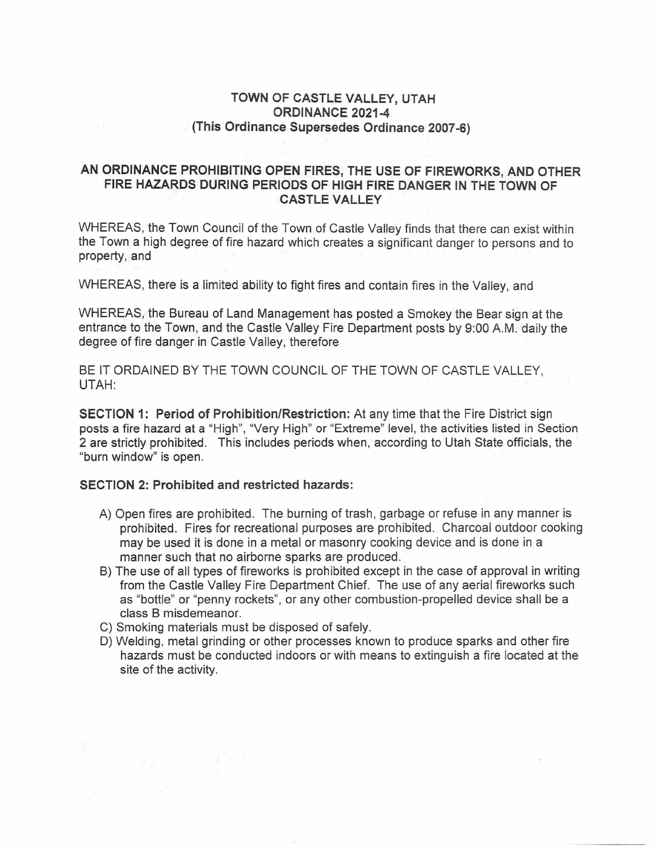## TOWN OF CASTLE VALLEY, UTAH ORDINANCE 2021-4 (This Ordinance Supersedes Ordinance 2007-6)

## AN ORDINANCE PROHIBITING OPEN FIRES, THE USE OF FIREWORKS, AND OTHER FIRE HAZARDS DURING PERIODS OF HIGH FIRE DANGER IN THE TOWN OF CASTLE VALLEY

WHEREAS, the Town Council of the Town of Castle Valley finds that there can exist within the Town a high degree of fire hazard which creates a significant danger to persons and to property, and

WHEREAS, there is a limited ability to fight fires and contain fires in the Valley, and

WHEREAS, the Bureau of Land Management has posted a Smokey the Bear sign at the entrance to the Town, and the Castle Valley Fire Department posts by 9:00 A.M. daily the degree of fire danger in Castle Valley, therefore

BE IT ORDAINED BY THE TOWN COUNCIL OF THE TOWN OF CASTLE VALLEY, UTAH:

**SECTION 1: Period of Prohibition/Restriction:** At any time that the Fire District sign posts a fire hazard at a "High", "Very High" or "Extreme" level, the activities listed in Section 2 are strictly prohibited. This includes periods when, according to Utah State officials, the "burn window" is open.

## SECTION 2: Prohibited and restricted hazards:

- A) Open fires are prohibited. The burning of trash, garbage or refuse in any manner is prohibited. Fires for recreational purposes are prohibited. Charcoal outdoor cooking may be used it is done in a metal or masonry cooking device and is done in a manner such that no airborne sparks are produced.
- B) The use of all types of fireworks is prohibited except in the case of approval in writing from the Castle Valley Fire Department Chief. The use of any aerial fireworks such as "bottle" or "penny rockets", or any other combustion-propelled device shall be a class B misdemeanor.
- C) Smoking materials must be disposed of safely.
- D) Welding, metal grinding or other processes known to produce sparks and other fire hazards must be conducted indoors or with means to extinguish a fire located at the site of the activity.